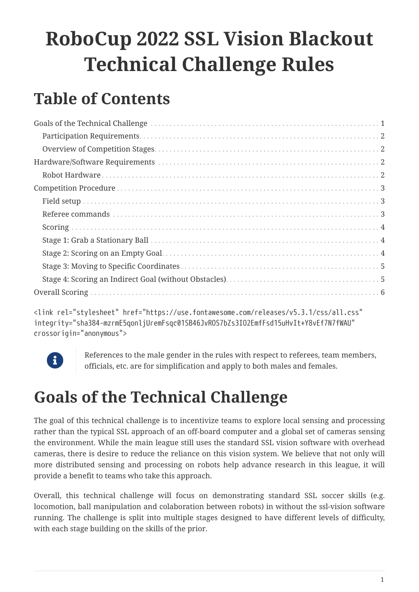# **RoboCup 2022 SSL Vision Blackout Technical Challenge Rules**

## **Table of Contents**

<link rel="stylesheet" href="https://use.fontawesome.com/releases/v5.3.1/css/all.css" integrity="sha384-mzrmE5qonljUremFsqc01SB46JvROS7bZs3IO2EmfFsd15uHvIt+Y8vEf7N7fWAU" crossorigin="anonymous">



References to the male gender in the rules with respect to referees, team members, officials, etc. are for simplification and apply to both males and females.

## <span id="page-0-0"></span>**Goals of the Technical Challenge**

The goal of this technical challenge is to incentivize teams to explore local sensing and processing rather than the typical SSL approach of an off-board computer and a global set of cameras sensing the environment. While the main league still uses the standard SSL vision software with overhead cameras, there is desire to reduce the reliance on this vision system. We believe that not only will more distributed sensing and processing on robots help advance research in this league, it will provide a benefit to teams who take this approach.

Overall, this technical challenge will focus on demonstrating standard SSL soccer skills (e.g. locomotion, ball manipulation and colaboration between robots) in without the ssl-vision software running. The challenge is split into multiple stages designed to have different levels of difficulty, with each stage building on the skills of the prior.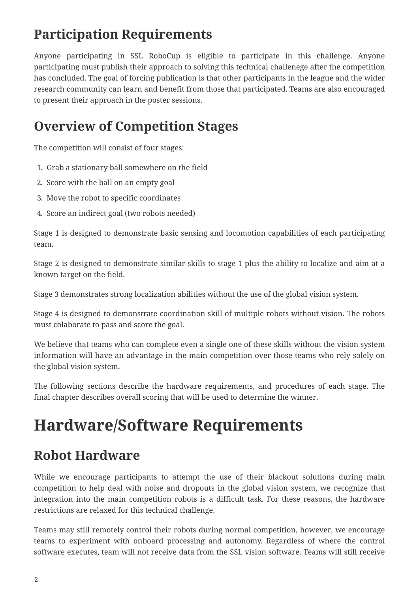## <span id="page-1-0"></span>**Participation Requirements**

Anyone participating in SSL RoboCup is eligible to participate in this challenge. Anyone participating must publish their approach to solving this technical challenege after the competition has concluded. The goal of forcing publication is that other participants in the league and the wider research community can learn and benefit from those that participated. Teams are also encouraged to present their approach in the poster sessions.

## <span id="page-1-1"></span>**Overview of Competition Stages**

The competition will consist of four stages:

- 1. Grab a stationary ball somewhere on the field
- 2. Score with the ball on an empty goal
- 3. Move the robot to specific coordinates
- 4. Score an indirect goal (two robots needed)

Stage 1 is designed to demonstrate basic sensing and locomotion capabilities of each participating team.

Stage 2 is designed to demonstrate similar skills to stage 1 plus the ability to localize and aim at a known target on the field.

Stage 3 demonstrates strong localization abilities without the use of the global vision system.

Stage 4 is designed to demonstrate coordination skill of multiple robots without vision. The robots must colaborate to pass and score the goal.

We believe that teams who can complete even a single one of these skills without the vision system information will have an advantage in the main competition over those teams who rely solely on the global vision system.

The following sections describe the hardware requirements, and procedures of each stage. The final chapter describes overall scoring that will be used to determine the winner.

## <span id="page-1-2"></span>**Hardware/Software Requirements**

### <span id="page-1-3"></span>**Robot Hardware**

While we encourage participants to attempt the use of their blackout solutions during main competition to help deal with noise and dropouts in the global vision system, we recognize that integration into the main competition robots is a difficult task. For these reasons, the hardware restrictions are relaxed for this technical challenge.

Teams may still remotely control their robots during normal competition, however, we encourage teams to experiment with onboard processing and autonomy. Regardless of where the control software executes, team will not receive data from the SSL vision software. Teams will still receive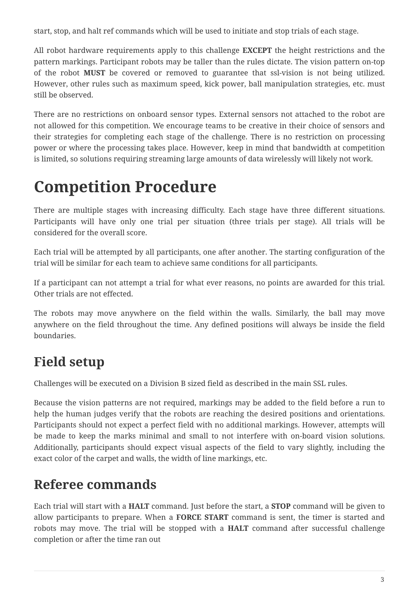start, stop, and halt ref commands which will be used to initiate and stop trials of each stage.

All robot hardware requirements apply to this challenge **EXCEPT** the height restrictions and the pattern markings. Participant robots may be taller than the rules dictate. The vision pattern on-top of the robot **MUST** be covered or removed to guarantee that ssl-vision is not being utilized. However, other rules such as maximum speed, kick power, ball manipulation strategies, etc. must still be observed.

There are no restrictions on onboard sensor types. External sensors not attached to the robot are not allowed for this competition. We encourage teams to be creative in their choice of sensors and their strategies for completing each stage of the challenge. There is no restriction on processing power or where the processing takes place. However, keep in mind that bandwidth at competition is limited, so solutions requiring streaming large amounts of data wirelessly will likely not work.

## <span id="page-2-0"></span>**Competition Procedure**

There are multiple stages with increasing difficulty. Each stage have three different situations. Participants will have only one trial per situation (three trials per stage). All trials will be considered for the overall score.

Each trial will be attempted by all participants, one after another. The starting configuration of the trial will be similar for each team to achieve same conditions for all participants.

If a participant can not attempt a trial for what ever reasons, no points are awarded for this trial. Other trials are not effected.

The robots may move anywhere on the field within the walls. Similarly, the ball may move anywhere on the field throughout the time. Any defined positions will always be inside the field boundaries.

## <span id="page-2-1"></span>**Field setup**

Challenges will be executed on a Division B sized field as described in the main SSL rules.

Because the vision patterns are not required, markings may be added to the field before a run to help the human judges verify that the robots are reaching the desired positions and orientations. Participants should not expect a perfect field with no additional markings. However, attempts will be made to keep the marks minimal and small to not interfere with on-board vision solutions. Additionally, participants should expect visual aspects of the field to vary slightly, including the exact color of the carpet and walls, the width of line markings, etc.

### <span id="page-2-2"></span>**Referee commands**

Each trial will start with a **HALT** command. Just before the start, a **STOP** command will be given to allow participants to prepare. When a **FORCE START** command is sent, the timer is started and robots may move. The trial will be stopped with a **HALT** command after successful challenge completion or after the time ran out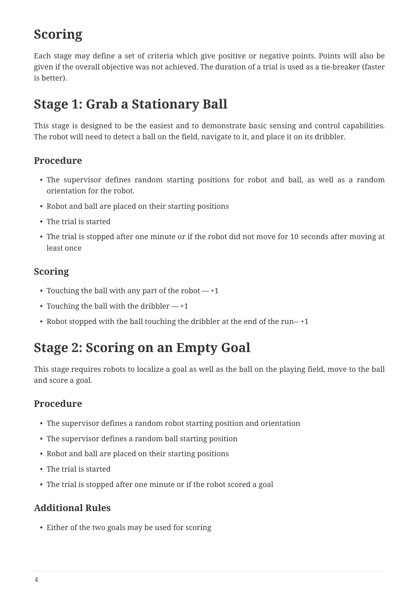## <span id="page-3-0"></span>**Scoring**

Each stage may define a set of criteria which give positive or negative points. Points will also be given if the overall objective was not achieved. The duration of a trial is used as a tie-breaker (faster is better).

## <span id="page-3-1"></span>**Stage 1: Grab a Stationary Ball**

This stage is designed to be the easiest and to demonstrate basic sensing and control capabilities. The robot will need to detect a ball on the field, navigate to it, and place it on its dribbler.

#### **Procedure**

- The supervisor defines random starting positions for robot and ball, as well as a random orientation for the robot.
- Robot and ball are placed on their starting positions
- The trial is started
- The trial is stopped after one minute or if the robot did not move for 10 seconds after moving at least once

#### **Scoring**

- Touching the ball with any part of the robot  $-1$
- Touching the ball with the dribbler  $-+1$
- Robot stopped with the ball touching the dribbler at the end of the run--+1

### <span id="page-3-2"></span>**Stage 2: Scoring on an Empty Goal**

This stage requires robots to localize a goal as well as the ball on the playing field, move to the ball and score a goal.

#### **Procedure**

- The supervisor defines a random robot starting position and orientation
- The supervisor defines a random ball starting position
- Robot and ball are placed on their starting positions
- The trial is started
- The trial is stopped after one minute or if the robot scored a goal

#### **Additional Rules**

• Either of the two goals may be used for scoring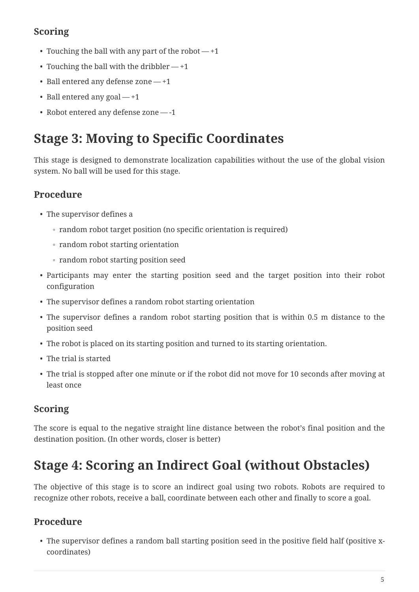#### **Scoring**

- Touching the ball with any part of the robot  $-1$
- Touching the ball with the dribbler  $-+1$
- Ball entered any defense zone +1
- Ball entered any goal  $-+1$
- Robot entered any defense zone -1

## <span id="page-4-0"></span>**Stage 3: Moving to Specific Coordinates**

This stage is designed to demonstrate localization capabilities without the use of the global vision system. No ball will be used for this stage.

#### **Procedure**

- The supervisor defines a
	- random robot target position (no specific orientation is required)
	- random robot starting orientation
	- random robot starting position seed
- Participants may enter the starting position seed and the target position into their robot configuration
- The supervisor defines a random robot starting orientation
- The supervisor defines a random robot starting position that is within 0.5 m distance to the position seed
- The robot is placed on its starting position and turned to its starting orientation.
- The trial is started
- The trial is stopped after one minute or if the robot did not move for 10 seconds after moving at least once

#### **Scoring**

The score is equal to the negative straight line distance between the robot's final position and the destination position. (In other words, closer is better)

## <span id="page-4-1"></span>**Stage 4: Scoring an Indirect Goal (without Obstacles)**

The objective of this stage is to score an indirect goal using two robots. Robots are required to recognize other robots, receive a ball, coordinate between each other and finally to score a goal.

#### **Procedure**

• The supervisor defines a random ball starting position seed in the positive field half (positive xcoordinates)